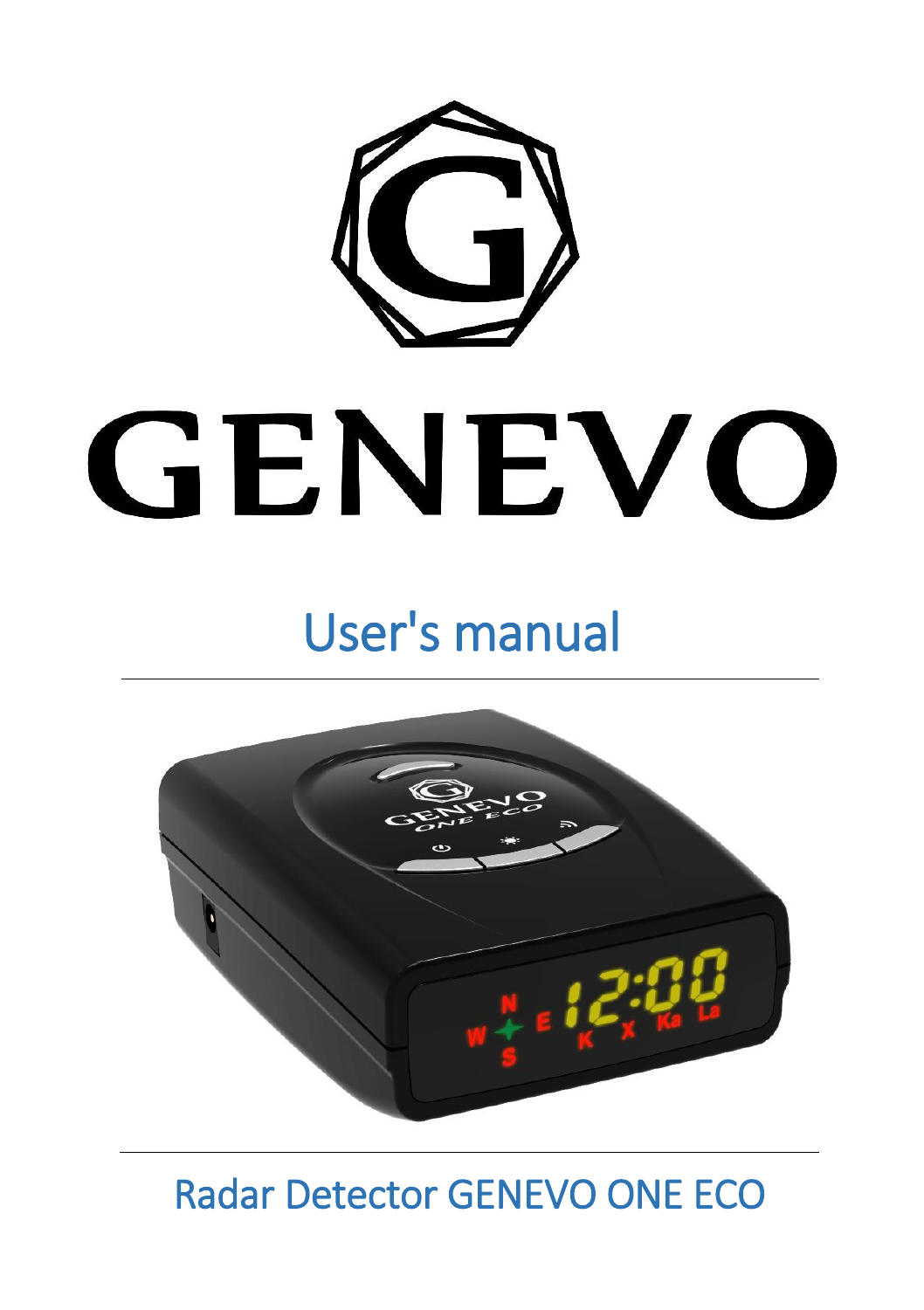

# GENEVO

# User's manual



Radar Detector GENEVO ONE ECO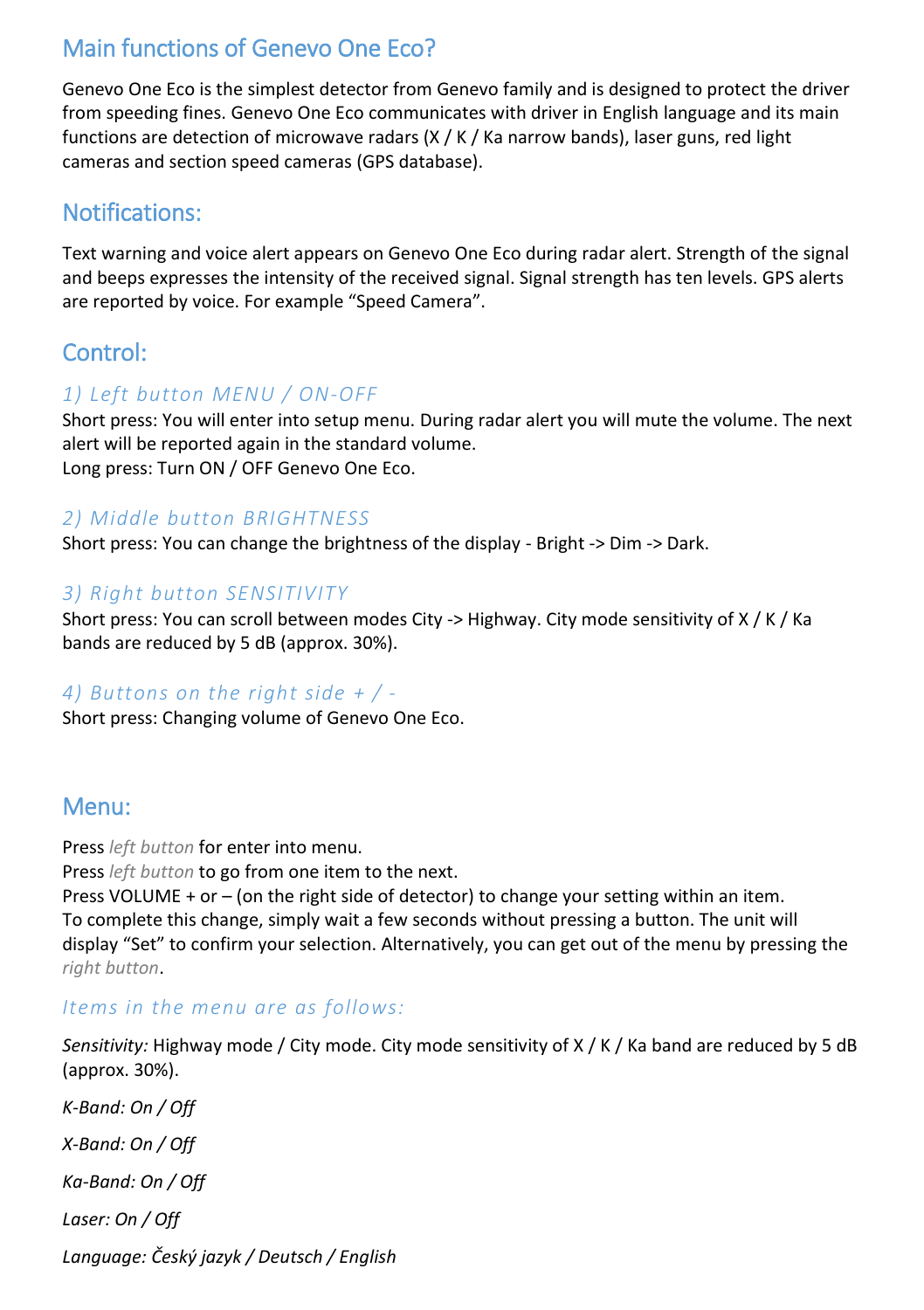# Main functions of Genevo One Eco?

Genevo One Eco is the simplest detector from Genevo family and is designed to protect the driver from speeding fines. Genevo One Eco communicates with driver in English language and its main functions are detection of microwave radars (X / K / Ka narrow bands), laser guns, red light cameras and section speed cameras (GPS database).

# Notifications:

Text warning and voice alert appears on Genevo One Eco during radar alert. Strength of the signal and beeps expresses the intensity of the received signal. Signal strength has ten levels. GPS alerts are reported by voice. For example "Speed Camera".

# Control:

#### *1) Left button MENU / ON-OFF*

Short press: You will enter into setup menu. During radar alert you will mute the volume. The next alert will be reported again in the standard volume. Long press: Turn ON / OFF Genevo One Eco.

#### *2) Middle button BRIGHTNESS*

Short press: You can change the brightness of the display - Bright -> Dim -> Dark.

#### *3) Right button SENSITIVITY*

Short press: You can scroll between modes City -> Highway. City mode sensitivity of X / K / Ka bands are reduced by 5 dB (approx. 30%).

#### *4) Buttons on the right side + / -*

Short press: Changing volume of Genevo One Eco.

### Menu:

Press *left button* for enter into menu.

Press *left button* to go from one item to the next.

Press VOLUME + or – (on the right side of detector) to change your setting within an item. To complete this change, simply wait a few seconds without pressing a button. The unit will display "Set" to confirm your selection. Alternatively, you can get out of the menu by pressing the *right button*.

#### *Items in the menu are as follows:*

*Sensitivity:* Highway mode / City mode. City mode sensitivity of X / K / Ka band are reduced by 5 dB (approx. 30%).

*K-Band: On / Off X-Band: On / Off Ka-Band: On / Off Laser: On / Off Language: Český jazyk / Deutsch / English*